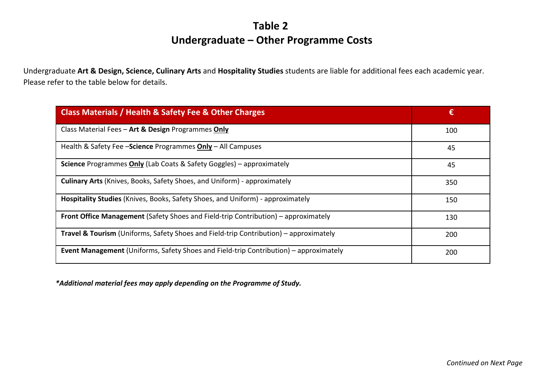## **Table 2 Undergraduate – Other Programme Costs**

Undergraduate **Art & Design, Science, Culinary Arts** and **Hospitality Studies** students are liable for additional fees each academic year. Please refer to the table below for details.

| Class Materials / Health & Safety Fee & Other Charges                                            | €   |
|--------------------------------------------------------------------------------------------------|-----|
| Class Material Fees - Art & Design Programmes Only                                               | 100 |
| Health & Safety Fee - Science Programmes Only - All Campuses                                     | 45  |
| <b>Science Programmes Only (Lab Coats &amp; Safety Goggles) - approximately</b>                  | 45  |
| <b>Culinary Arts</b> (Knives, Books, Safety Shoes, and Uniform) - approximately                  | 350 |
| Hospitality Studies (Knives, Books, Safety Shoes, and Uniform) - approximately                   | 150 |
| Front Office Management (Safety Shoes and Field-trip Contribution) – approximately               | 130 |
| <b>Travel &amp; Tourism</b> (Uniforms, Safety Shoes and Field-trip Contribution) – approximately | 200 |
| <b>Event Management</b> (Uniforms, Safety Shoes and Field-trip Contribution) – approximately     | 200 |

*\*Additional material fees may apply depending on the Programme of Study.*